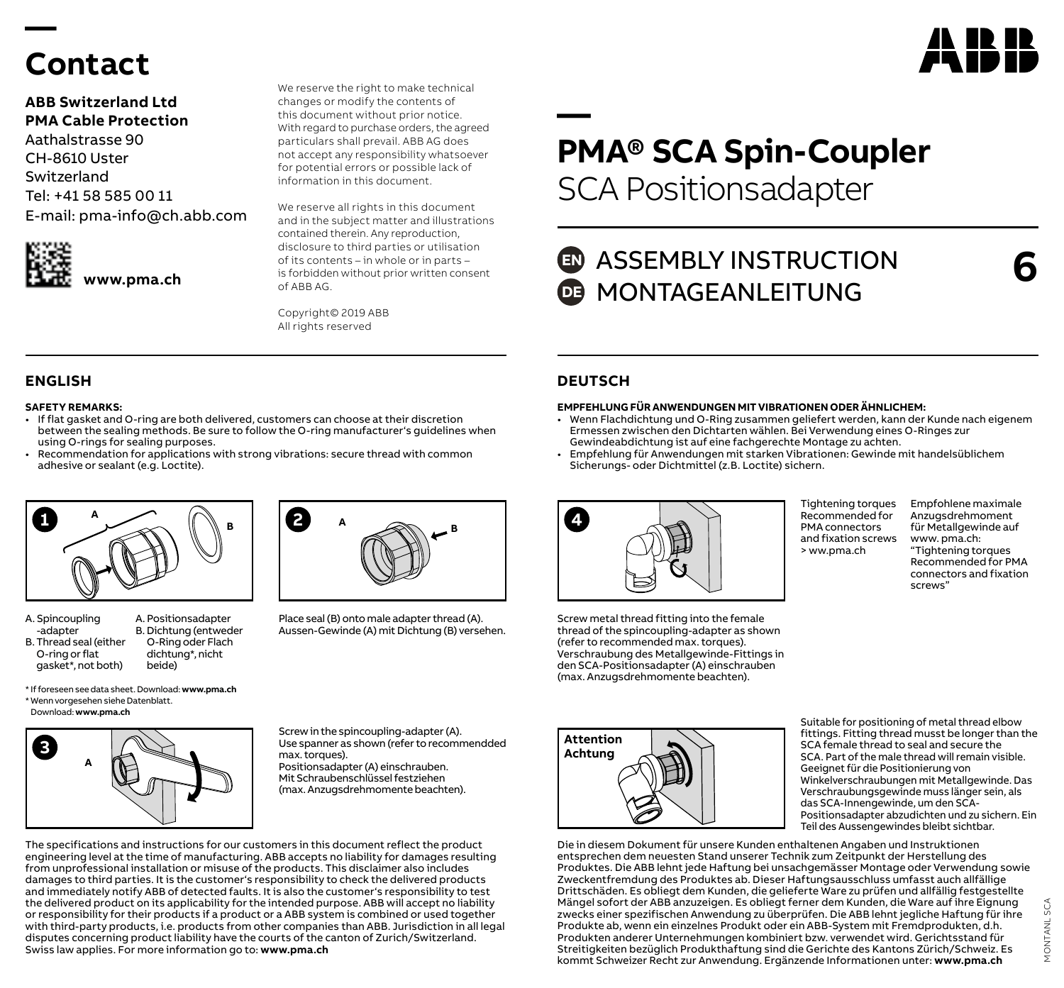# **Contact**

**—** 

### **ABB Switzerland Ltd PMA Cable Protection**

Aathalstrasse 90 CH-8610 Uster Switzerland Tel: +41 58 585 00 11 E-mail: pma-info@ch.abb.com



We reserve the right to make technical changes or modify the contents of this document without prior notice. With regard to purchase orders, the agreed particulars shall prevail. ABB AG does not accept any responsibility whatsoever for potential errors or possible lack of information in this document.

We reserve all rights in this document and in the subject matter and illustrations contained therein. Any reproduction, disclosure to third parties or utilisation of its contents – in whole or in parts – is forbidden without prior written consent of ABB AG.

Copyright© 2019 ABB All rights reserved

### **ENGLISH DEUTSCH**

#### **SAFETY REMARKS:**

- If flat gasket and O-ring are both delivered, customers can choose at their discretion between the sealing methods. Be sure to follow the O-ring manufacturer's guidelines when using O-rings for sealing purposes.
- Recommendation for applications with strong vibrations: secure thread with common adhesive or sealant (e.g. Loctite).



- A. Spincoupling -adapter B. Thread seal (either O-ring or flat gasket\*, not both) A. Positionsadapter B. Dichtung (entweder O-Ring oder Flach dichtung\*, nicht beide)
- **<sup>B</sup> <sup>B</sup> 2 <sup>A</sup>**

Place seal (B) onto male adapter thread (A). Aussen-Gewinde (A) mit Dichtung (B) versehen.

\* If foreseen see data sheet. Download: **www.pma.ch** \* Wenn vorgesehen siehe Datenblatt. Download: **www.pma.ch**



Screw in the spincoupling-adapter (A). Use spanner as shown (refer to recommendded max. torques). Positionsadapter (A) einschrauben. Mit Schraubenschlüssel festziehen (max. Anzugsdrehmomente beachten).

The specifications and instructions for our customers in this document reflect the product engineering level at the time of manufacturing. ABB accepts no liability for damages resulting from unprofessional installation or misuse of the products. This disclaimer also includes damages to third parties. It is the customer's responsibility to check the delivered products and immediately notify ABB of detected faults. It is also the customer's responsibility to test the delivered product on its applicability for the intended purpose. ABB will accept no liability or responsibility for their products if a product or a ABB system is combined or used together with third-party products, i.e. products from other companies than ABB. Jurisdiction in all legal disputes concerning product liability have the courts of the canton of Zurich/Switzerland. Swiss law applies. For more information go to: **www.pma.ch**

# **— PMA® SCA Spin-Coupler** SCA Positionsadapter

## **ED** ASSEMBLY INSTRUCTION **DE MONTAGEANLEITUNG**

**6**

AN HR I

#### **EMPFEHLUNG FÜR ANWENDUNGEN MIT VIBRATIONEN ODER ÄHNLICHEM:**

• Wenn Flachdichtung und O-Ring zusammen geliefert werden, kann der Kunde nach eigenem Ermessen zwischen den Dichtarten wählen. Bei Verwendung eines O-Ringes zur Gewindeabdichtung ist auf eine fachgerechte Montage zu achten.

> Tightening torques Recommended for PMA connectors and fixation screws > ww.pma.ch

• Empfehlung für Anwendungen mit starken Vibrationen: Gewinde mit handelsüblichem Sicherungs- oder Dichtmittel (z.B. Loctite) sichern.



Screw metal thread fitting into the female thread of the spincoupling-adapter as shown (refer to recommended max. torques). Verschraubung des Metallgewinde-Fittings in den SCA-Positionsadapter (A) einschrauben (max. Anzugsdrehmomente beachten).



Suitable for positioning of metal thread elbow fittings. Fitting thread musst be longer than the SCA female thread to seal and secure the SCA. Part of the male thread will remain visible. Geeignet für die Positionierung von Winkelverschraubungen mit Metallgewinde. Das Verschraubungsgewinde muss länger sein, als das SCA-Innengewinde, um den SCA-Positionsadapter abzudichten und zu sichern. Ein Teil des Aussengewindes bleibt sichtbar.

Die in diesem Dokument für unsere Kunden enthaltenen Angaben und Instruktionen entsprechen dem neuesten Stand unserer Technik zum Zeitpunkt der Herstellung des Produktes. Die ABB lehnt jede Haftung bei unsachgemässer Montage oder Verwendung sowie Zweckentfremdung des Produktes ab. Dieser Haftungsausschluss umfasst auch allfällige Drittschäden. Es obliegt dem Kunden, die gelieferte Ware zu prüfen und allfällig festgestellte Mängel sofort der ABB anzuzeigen. Es obliegt ferner dem Kunden, die Ware auf ihre Eignung zwecks einer spezifischen Anwendung zu überprüfen. Die ABB lehnt jegliche Haftung für ihre Produkte ab, wenn ein einzelnes Produkt oder ein ABB-System mit Fremdprodukten, d.h. Produkten anderer Unternehmungen kombiniert bzw. verwendet wird. Gerichtsstand für Streitigkeiten bezüglich Produkthaftung sind die Gerichte des Kantons Zürich/Schweiz. Es kommt Schweizer Recht zur Anwendung. Ergänzende Informationen unter: **www.pma.ch**

Empfohlene maximale Anzugsdrehmoment für Metallgewinde auf www. pma.ch: "Tightening torques Recommended for PMA connectors and fixation screws"

> MONTANL SCAMONTANL SCA